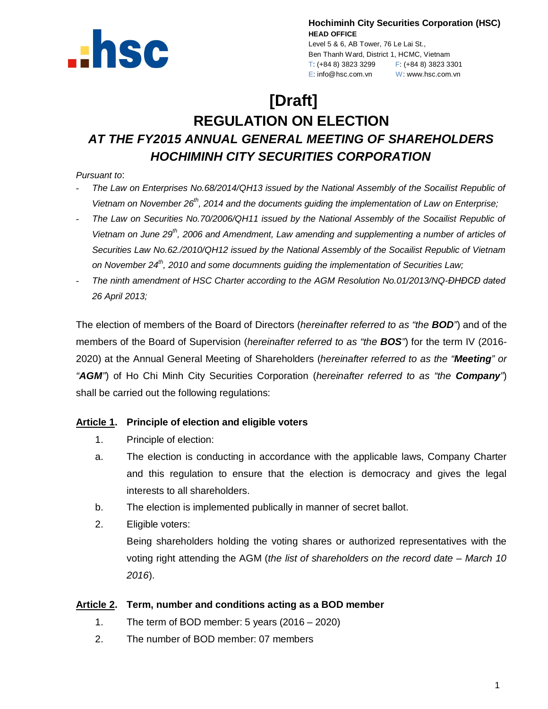

**Hochiminh City Securities Corporation (HSC) HEAD OFFICE**

Level 5 & 6, AB Tower, 76 Le Lai St., Ben Thanh Ward, District 1, HCMC, Vietnam T: (+84 8) 3823 3299 F: (+84 8) 3823 3301 E: info@hsc.com.vn W: www.hsc.com.vn

# **[Draft]**

## **REGULATION ON ELECTION**  *AT THE FY2015 ANNUAL GENERAL MEETING OF SHAREHOLDERS HOCHIMINH CITY SECURITIES CORPORATION*

## *Pursuant to*:

- *The Law on Enterprises No.68/2014/QH13 issued by the National Assembly of the Socailist Republic of*  Vietnam on November 26<sup>th</sup>, 2014 and the documents guiding the implementation of Law on Enterprise;
- *The Law on Securities No.70/2006/QH11 issued by the National Assembly of the Socailist Republic of Vietnam on June 29th, 2006 and Amendment, Law amending and supplementing a number of articles of Securities Law No.62./2010/QH12 issued by the National Assembly of the Socailist Republic of Vietnam on November 24th, 2010 and some documnents guiding the implementation of Securities Law;*
- *The ninth amendment of HSC Charter according to the AGM Resolution No.01/2013/NQ-ĐHĐCĐ dated 26 April 2013;*

The election of members of the Board of Directors (*hereinafter referred to as "the BOD"*) and of the members of the Board of Supervision (*hereinafter referred to as "the BOS"*) for the term IV (2016- 2020) at the Annual General Meeting of Shareholders (*hereinafter referred to as the "Meeting" or "AGM"*) of Ho Chi Minh City Securities Corporation (*hereinafter referred to as "the Company"*) shall be carried out the following regulations:

## **Article 1. Principle of election and eligible voters**

- 1. Principle of election:
- a. The election is conducting in accordance with the applicable laws, Company Charter and this regulation to ensure that the election is democracy and gives the legal interests to all shareholders.
- b. The election is implemented publically in manner of secret ballot.
- 2. Eligible voters:

Being shareholders holding the voting shares or authorized representatives with the voting right attending the AGM (*the list of shareholders on the record date – March 10 2016*).

#### **Article 2. Term, number and conditions acting as a BOD member**

- 1. The term of BOD member: 5 years (2016 2020)
- 2. The number of BOD member: 07 members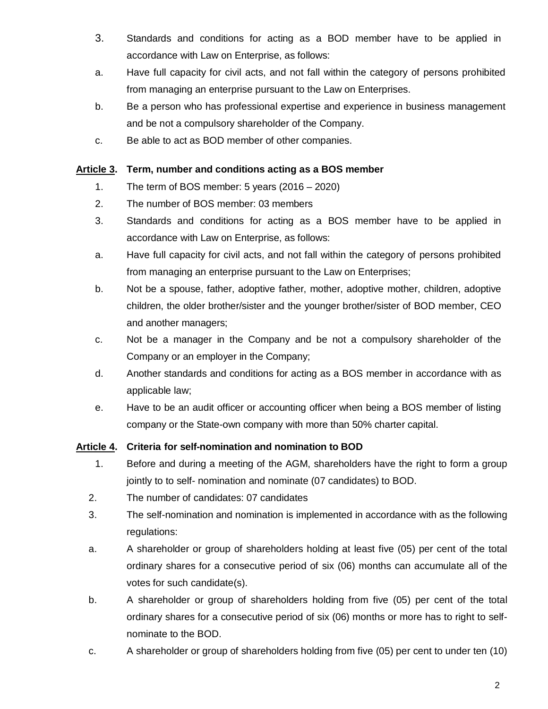- 3. Standards and conditions for acting as a BOD member have to be applied in accordance with Law on Enterprise, as follows:
- a. Have full capacity for civil acts, and not fall within the category of persons prohibited from managing an enterprise pursuant to the Law on Enterprises.
- b. Be a person who has professional expertise and experience in business management and be not a compulsory shareholder of the Company.
- c. Be able to act as BOD member of other companies.

#### **Article 3. Term, number and conditions acting as a BOS member**

- 1. The term of BOS member: 5 years (2016 2020)
- 2. The number of BOS member: 03 members
- 3. Standards and conditions for acting as a BOS member have to be applied in accordance with Law on Enterprise, as follows:
- a. Have full capacity for civil acts, and not fall within the category of persons prohibited from managing an enterprise pursuant to the Law on Enterprises;
- b. Not be a spouse, father, adoptive father, mother, adoptive mother, children, adoptive children, the older brother/sister and the younger brother/sister of BOD member, CEO and another managers;
- c. Not be a manager in the Company and be not a compulsory shareholder of the Company or an employer in the Company;
- d. Another standards and conditions for acting as a BOS member in accordance with as applicable law;
- e. Have to be an audit officer or accounting officer when being a BOS member of listing company or the State-own company with more than 50% charter capital.

## **Article 4. Criteria for self-nomination and nomination to BOD**

- 1. Before and during a meeting of the AGM, shareholders have the right to form a group jointly to to self- nomination and nominate (07 candidates) to BOD.
- 2. The number of candidates: 07 candidates
- 3. The self-nomination and nomination is implemented in accordance with as the following regulations:
- a. A shareholder or group of shareholders holding at least five (05) per cent of the total ordinary shares for a consecutive period of six (06) months can accumulate all of the votes for such candidate(s).
- b. A shareholder or group of shareholders holding from five (05) per cent of the total ordinary shares for a consecutive period of six (06) months or more has to right to selfnominate to the BOD.
- c. A shareholder or group of shareholders holding from five (05) per cent to under ten (10)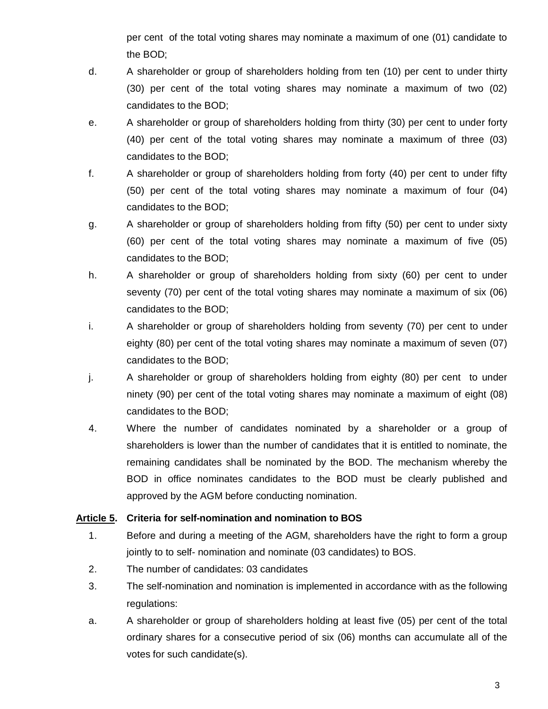per cent of the total voting shares may nominate a maximum of one (01) candidate to the BOD;

- d. A shareholder or group of shareholders holding from ten (10) per cent to under thirty (30) per cent of the total voting shares may nominate a maximum of two (02) candidates to the BOD;
- e. A shareholder or group of shareholders holding from thirty (30) per cent to under forty (40) per cent of the total voting shares may nominate a maximum of three (03) candidates to the BOD;
- f. A shareholder or group of shareholders holding from forty (40) per cent to under fifty (50) per cent of the total voting shares may nominate a maximum of four (04) candidates to the BOD;
- g. A shareholder or group of shareholders holding from fifty (50) per cent to under sixty (60) per cent of the total voting shares may nominate a maximum of five (05) candidates to the BOD;
- h. A shareholder or group of shareholders holding from sixty (60) per cent to under seventy (70) per cent of the total voting shares may nominate a maximum of six (06) candidates to the BOD;
- i. A shareholder or group of shareholders holding from seventy (70) per cent to under eighty (80) per cent of the total voting shares may nominate a maximum of seven (07) candidates to the BOD;
- j. A shareholder or group of shareholders holding from eighty (80) per cent to under ninety (90) per cent of the total voting shares may nominate a maximum of eight (08) candidates to the BOD;
- 4. Where the number of candidates nominated by a shareholder or a group of shareholders is lower than the number of candidates that it is entitled to nominate, the remaining candidates shall be nominated by the BOD. The mechanism whereby the BOD in office nominates candidates to the BOD must be clearly published and approved by the AGM before conducting nomination.

## **Article 5. Criteria for self-nomination and nomination to BOS**

- 1. Before and during a meeting of the AGM, shareholders have the right to form a group jointly to to self- nomination and nominate (03 candidates) to BOS.
- 2. The number of candidates: 03 candidates
- 3. The self-nomination and nomination is implemented in accordance with as the following regulations:
- a. A shareholder or group of shareholders holding at least five (05) per cent of the total ordinary shares for a consecutive period of six (06) months can accumulate all of the votes for such candidate(s).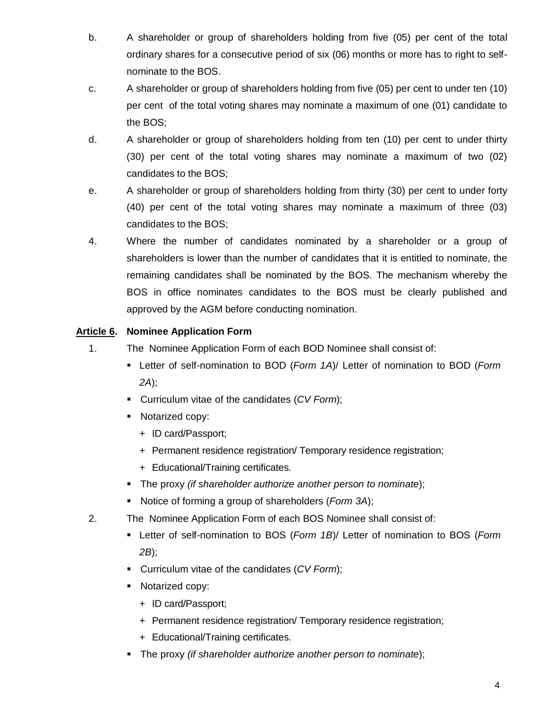- b. A shareholder or group of shareholders holding from five (05) per cent of the total ordinary shares for a consecutive period of six (06) months or more has to right to selfnominate to the BOS.
- c. A shareholder or group of shareholders holding from five (05) per cent to under ten (10) per cent of the total voting shares may nominate a maximum of one (01) candidate to the BOS;
- d. A shareholder or group of shareholders holding from ten (10) per cent to under thirty (30) per cent of the total voting shares may nominate a maximum of two (02) candidates to the BOS;
- e. A shareholder or group of shareholders holding from thirty (30) per cent to under forty (40) per cent of the total voting shares may nominate a maximum of three (03) candidates to the BOS;
- 4. Where the number of candidates nominated by a shareholder or a group of shareholders is lower than the number of candidates that it is entitled to nominate, the remaining candidates shall be nominated by the BOS. The mechanism whereby the BOS in office nominates candidates to the BOS must be clearly published and approved by the AGM before conducting nomination.

## **Article 6. Nominee Application Form**

- 1. The Nominee Application Form of each BOD Nominee shall consist of:
	- Letter of self-nomination to BOD (*Form 1A*)/ Letter of nomination to BOD (*Form 2A*);
	- Curriculum vitae of the candidates (*CV Form*);
	- **Notarized copy:** 
		- + ID card/Passport;
		- + Permanent residence registration/ Temporary residence registration;
		- + Educational/Training certificates.
	- The proxy *(if shareholder authorize another person to nominate*);
	- Notice of forming a group of shareholders (*Form 3A*);
- 2. The Nominee Application Form of each BOS Nominee shall consist of:
	- Letter of self-nomination to BOS (*Form 1B*)/ Letter of nomination to BOS (*Form 2B*);
	- Curriculum vitae of the candidates (*CV Form*);
	- Notarized copy:
		- + ID card/Passport;
		- + Permanent residence registration/ Temporary residence registration;
		- + Educational/Training certificates.
	- The proxy *(if shareholder authorize another person to nominate*);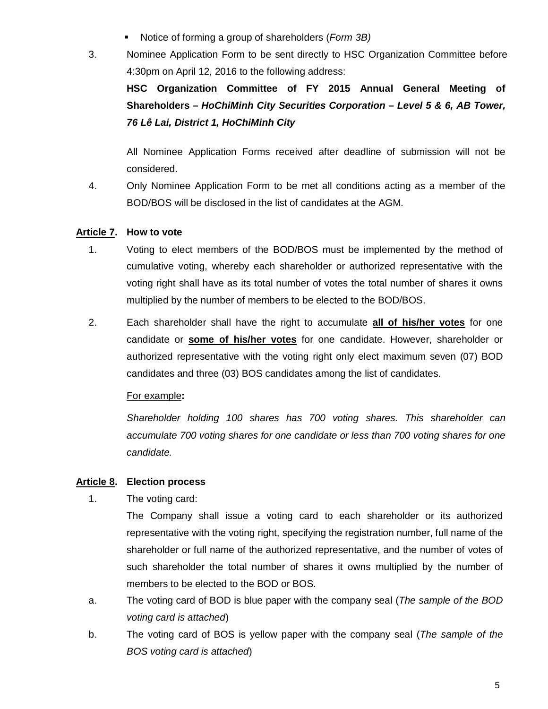- Notice of forming a group of shareholders (*Form 3B)*
- 3. Nominee Application Form to be sent directly to HSC Organization Committee before 4:30pm on April 12, 2016 to the following address:

**HSC Organization Committee of FY 2015 Annual General Meeting of Shareholders** *– HoChiMinh City Securities Corporation – Level 5 & 6, AB Tower, 76 Lê Lai, District 1, HoChiMinh City*

All Nominee Application Forms received after deadline of submission will not be considered.

4. Only Nominee Application Form to be met all conditions acting as a member of the BOD/BOS will be disclosed in the list of candidates at the AGM.

## **Article 7. How to vote**

- 1. Voting to elect members of the BOD/BOS must be implemented by the method of cumulative voting, whereby each shareholder or authorized representative with the voting right shall have as its total number of votes the total number of shares it owns multiplied by the number of members to be elected to the BOD/BOS.
- 2. Each shareholder shall have the right to accumulate **all of his/her votes** for one candidate or **some of his/her votes** for one candidate. However, shareholder or authorized representative with the voting right only elect maximum seven (07) BOD candidates and three (03) BOS candidates among the list of candidates.

## For example**:**

*Shareholder holding 100 shares has 700 voting shares. This shareholder can accumulate 700 voting shares for one candidate or less than 700 voting shares for one candidate.*

## **Article 8. Election process**

1. The voting card:

The Company shall issue a voting card to each shareholder or its authorized representative with the voting right, specifying the registration number, full name of the shareholder or full name of the authorized representative, and the number of votes of such shareholder the total number of shares it owns multiplied by the number of members to be elected to the BOD or BOS.

- a. The voting card of BOD is blue paper with the company seal (*The sample of the BOD voting card is attached*)
- b. The voting card of BOS is yellow paper with the company seal (*The sample of the BOS voting card is attached*)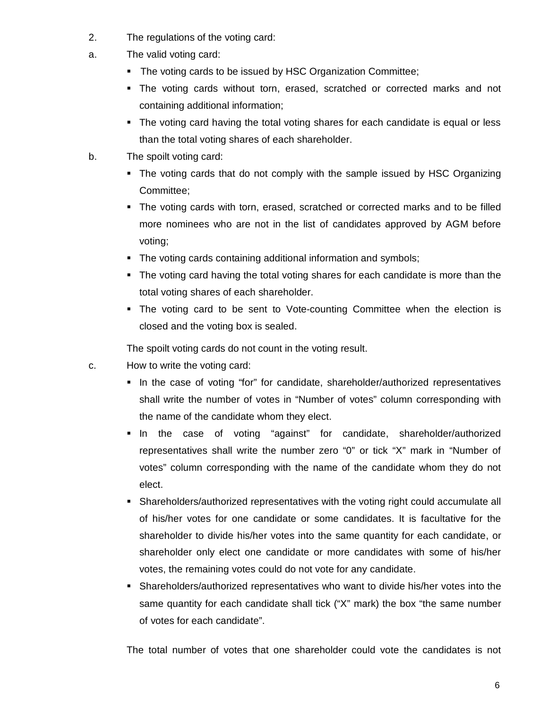- 2. The regulations of the voting card:
- a. The valid voting card:
	- The voting cards to be issued by HSC Organization Committee;
	- The voting cards without torn, erased, scratched or corrected marks and not containing additional information;
	- The voting card having the total voting shares for each candidate is equal or less than the total voting shares of each shareholder.
- b. The spoilt voting card:
	- The voting cards that do not comply with the sample issued by HSC Organizing Committee;
	- The voting cards with torn, erased, scratched or corrected marks and to be filled more nominees who are not in the list of candidates approved by AGM before voting;
	- The voting cards containing additional information and symbols;
	- The voting card having the total voting shares for each candidate is more than the total voting shares of each shareholder.
	- The voting card to be sent to Vote-counting Committee when the election is closed and the voting box is sealed.

The spoilt voting cards do not count in the voting result.

- c. How to write the voting card:
	- In the case of voting "for" for candidate, shareholder/authorized representatives shall write the number of votes in "Number of votes" column corresponding with the name of the candidate whom they elect.
	- In the case of voting "against" for candidate, shareholder/authorized representatives shall write the number zero "0" or tick "X" mark in "Number of votes" column corresponding with the name of the candidate whom they do not elect.
	- Shareholders/authorized representatives with the voting right could accumulate all of his/her votes for one candidate or some candidates. It is facultative for the shareholder to divide his/her votes into the same quantity for each candidate, or shareholder only elect one candidate or more candidates with some of his/her votes, the remaining votes could do not vote for any candidate.
	- Shareholders/authorized representatives who want to divide his/her votes into the same quantity for each candidate shall tick ("X" mark) the box "the same number of votes for each candidate".

The total number of votes that one shareholder could vote the candidates is not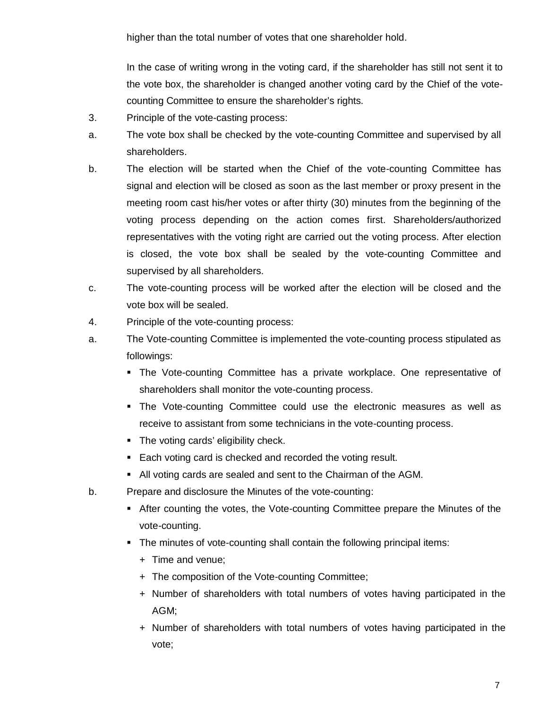higher than the total number of votes that one shareholder hold.

In the case of writing wrong in the voting card, if the shareholder has still not sent it to the vote box, the shareholder is changed another voting card by the Chief of the votecounting Committee to ensure the shareholder's rights.

- 3. Principle of the vote-casting process:
- a. The vote box shall be checked by the vote-counting Committee and supervised by all shareholders.
- b. The election will be started when the Chief of the vote-counting Committee has signal and election will be closed as soon as the last member or proxy present in the meeting room cast his/her votes or after thirty (30) minutes from the beginning of the voting process depending on the action comes first. Shareholders/authorized representatives with the voting right are carried out the voting process. After election is closed, the vote box shall be sealed by the vote-counting Committee and supervised by all shareholders.
- c. The vote-counting process will be worked after the election will be closed and the vote box will be sealed.
- 4. Principle of the vote-counting process:
- a. The Vote-counting Committee is implemented the vote-counting process stipulated as followings:
	- The Vote-counting Committee has a private workplace. One representative of shareholders shall monitor the vote-counting process.
	- The Vote-counting Committee could use the electronic measures as well as receive to assistant from some technicians in the vote-counting process.
	- The voting cards' eligibility check.
	- Each voting card is checked and recorded the voting result.
	- All voting cards are sealed and sent to the Chairman of the AGM.
- b. Prepare and disclosure the Minutes of the vote-counting:
	- After counting the votes, the Vote-counting Committee prepare the Minutes of the vote-counting.
	- The minutes of vote-counting shall contain the following principal items:
		- + Time and venue;
		- + The composition of the Vote-counting Committee;
		- + Number of shareholders with total numbers of votes having participated in the AGM;
		- + Number of shareholders with total numbers of votes having participated in the vote;